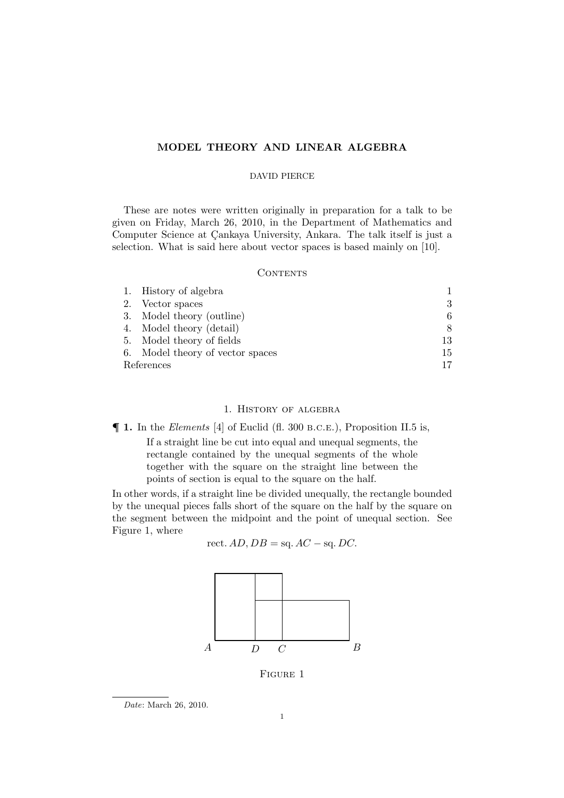# MODEL THEORY AND LINEAR ALGEBRA

# DAVID PIERCE

These are notes were written originally in preparation for a talk to be given on Friday, March 26, 2010, in the Department of Mathematics and Computer Science at Çankaya University, Ankara. The talk itself is just a selection. What is said here about vector spaces is based mainly on [10].

# **CONTENTS**

|            | 1. History of algebra            |    |
|------------|----------------------------------|----|
|            | 2. Vector spaces                 |    |
|            | 3. Model theory (outline)        |    |
|            | 4. Model theory (detail)         |    |
|            | 5. Model theory of fields        | 13 |
|            | 6. Model theory of vector spaces | 15 |
| References |                                  |    |

# 1. History of algebra

¶ 1. In the *Elements* [4] of Euclid (fl. 300 b.c.e.), Proposition II.5 is,

If a straight line be cut into equal and unequal segments, the rectangle contained by the unequal segments of the whole together with the square on the straight line between the points of section is equal to the square on the half.

In other words, if a straight line be divided unequally, the rectangle bounded by the unequal pieces falls short of the square on the half by the square on the segment between the midpoint and the point of unequal section. See Figure 1, where

$$
rect. AD, DB = sq. AC - sq. DC.
$$



Figure 1

*Date*: March 26, 2010.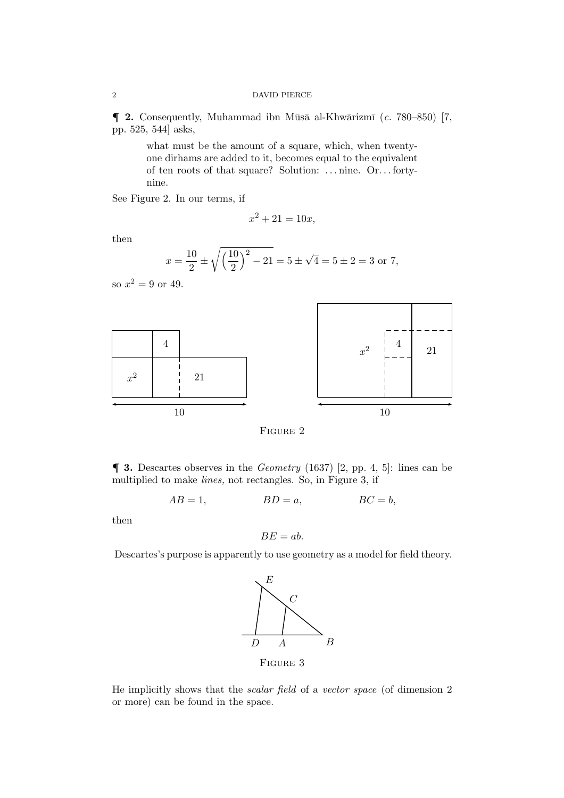$\blacksquare$  2. Consequently, Muhammad ibn Mūsā al-Khwārizmī (*c.* 780–850) [7, pp. 525, 544] asks,

> what must be the amount of a square, which, when twentyone dirhams are added to it, becomes equal to the equivalent of ten roots of that square? Solution: .. . nine. Or.. . fortynine.

See Figure 2. In our terms, if

$$
x^2 + 21 = 10x,
$$

then

$$
x = \frac{10}{2} \pm \sqrt{\left(\frac{10}{2}\right)^2 - 21} = 5 \pm \sqrt{4} = 5 \pm 2 = 3 \text{ or } 7,
$$

so  $x^2 = 9$  or 49.



FIGURE 2

¶ 3. Descartes observes in the *Geometry* (1637) [2, pp. 4, 5]: lines can be multiplied to make *lines,* not rectangles. So, in Figure 3, if

$$
AB = 1, \qquad BD = a, \qquad BC = b,
$$

then

$$
BE = ab.
$$

Descartes's purpose is apparently to use geometry as a model for field theory.



He implicitly shows that the *scalar field* of a *vector space* (of dimension 2 or more) can be found in the space.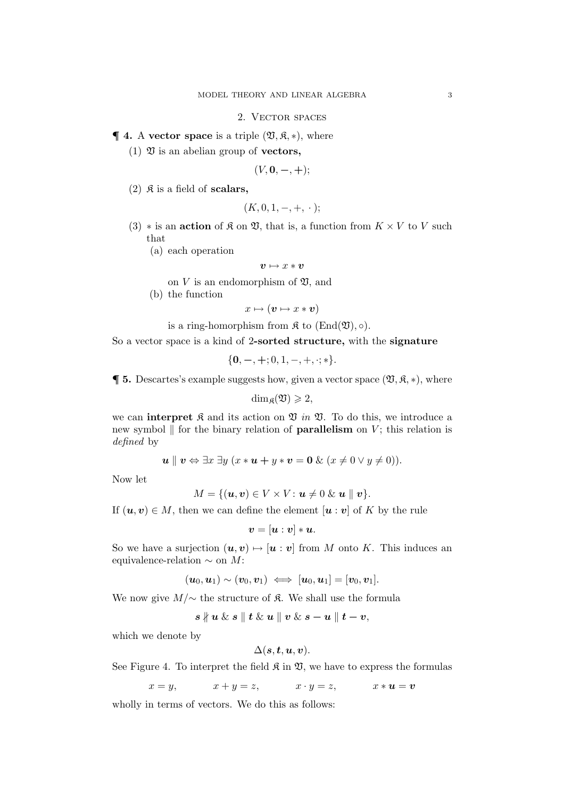## 2. Vector spaces

# $\P$  **4.** A vector space is a triple  $(\mathfrak{V}, \mathfrak{K}, *)$ , where

(1)  $\mathfrak V$  is an abelian group of **vectors**,

$$
(V, 0, -, +);
$$

(2)  $\mathfrak{K}$  is a field of scalars,

$$
(K, 0, 1, -, +, \cdot);
$$

- (3)  $*$  is an **action** of  $\mathfrak{K}$  on  $\mathfrak{V}$ , that is, a function from  $K \times V$  to V such that
	- (a) each operation

$$
\pmb{v} \mapsto x * \pmb{v}
$$

on  $V$  is an endomorphism of  $\mathfrak{V}$ , and

(b) the function

$$
x\mapsto(\boldsymbol{v}\mapsto x*\boldsymbol{v})
$$

is a ring-homorphism from  $\mathfrak K$  to  $(\text{End}(\mathfrak V), \circ).$ 

So a vector space is a kind of 2-sorted structure, with the signature

$$
\{0,-,+,0,1,-,+, \cdot; *\}.
$$

 $\P$ **5.** Descartes's example suggests how, given a vector space  $(\mathfrak{V}, \mathfrak{K}, *)$ , where

 $\dim_{\mathfrak{g}}(\mathfrak{V}) \geqslant 2$ ,

we can **interpret**  $\mathfrak{K}$  and its action on  $\mathfrak{V}$  *in*  $\mathfrak{V}$ . To do this, we introduce a new symbol  $\parallel$  for the binary relation of **parallelism** on V; this relation is *defined* by

$$
\mathbf{u} \parallel \mathbf{v} \Leftrightarrow \exists x \; \exists y \; (x * \mathbf{u} + y * \mathbf{v} = \mathbf{0} \; \& (x \neq 0 \lor y \neq 0)).
$$

Now let

$$
M = \{(\mathbf{u}, \mathbf{v}) \in V \times V : \mathbf{u} \neq 0 \& \mathbf{u} \parallel \mathbf{v}\}.
$$

If  $(u, v) \in M$ , then we can define the element  $[u : v]$  of K by the rule

 $v = [u : v] * u.$ 

So we have a surjection  $(u, v) \mapsto [u : v]$  from M onto K. This induces an equivalence-relation  $\sim$  on M:

$$
(\boldsymbol{u}_0,\boldsymbol{u}_1) \sim (\boldsymbol{v}_0,\boldsymbol{v}_1) \iff [\boldsymbol{u}_0,\boldsymbol{u}_1] = [\boldsymbol{v}_0,\boldsymbol{v}_1].
$$

We now give  $M/\sim$  the structure of  $\mathfrak K$ . We shall use the formula

$$
s\nparallel u \& s\parallel t \& u\parallel v \& s-u \parallel t-v,
$$

which we denote by

$$
\Delta(s,t,u,v).
$$

See Figure 4. To interpret the field  $\mathfrak{K}$  in  $\mathfrak{V}$ , we have to express the formulas

$$
x = y
$$
,  $x + y = z$ ,  $x \cdot y = z$ ,  $x * u = v$ 

wholly in terms of vectors. We do this as follows: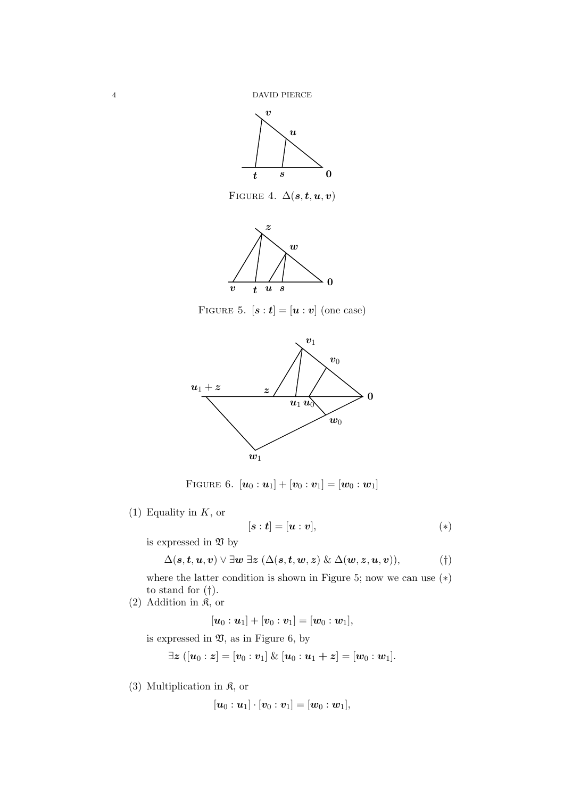

FIGURE 4.  $\Delta(s,t,u,v)$ 



FIGURE 5.  $[\boldsymbol{s} : \boldsymbol{t}] = [\boldsymbol{u} : \boldsymbol{v}]$  (one case)



FIGURE 6.  $[\boldsymbol{u}_0 : \boldsymbol{u}_1] + [\boldsymbol{v}_0 : \boldsymbol{v}_1] = [\boldsymbol{w}_0 : \boldsymbol{w}_1]$ 

(1) Equality in  $K$ , or

$$
[\boldsymbol{s}:\boldsymbol{t}]=[\boldsymbol{u}:\boldsymbol{v}], \hspace{2.5cm} (*)
$$

is expressed in  $\mathfrak V$  by

$$
\Delta(s,t,\boldsymbol{u},\boldsymbol{v})\lor \exists \boldsymbol{w}\ \exists \boldsymbol{z}\ (\Delta(s,t,\boldsymbol{w},\boldsymbol{z})\ \&\ \Delta(\boldsymbol{w},\boldsymbol{z},\boldsymbol{u},\boldsymbol{v})),\tag{\dagger}
$$

where the latter condition is shown in Figure 5; now we can use  $(*)$ to stand for  $(\dagger)$ .

 $(2)$  Addition in  $\mathfrak{K}$ , or

 $[\bm{u}_0: \bm{u}_1] + [\bm{v}_0: \bm{v}_1] = [\bm{w}_0: \bm{w}_1],$ 

is expressed in  $\mathfrak{V}$ , as in Figure 6, by

 $\exists z [u_0 : z] = [v_0 : v_1] \& [u_0 : u_1 + z] = [w_0 : w_1].$ 

(3) Multiplication in  $\mathfrak{K}$ , or

$$
[\bm{u}_0:\bm{u}_1]\cdot[\bm{v}_0:\bm{v}_1]=[\bm{w}_0:\bm{w}_1],
$$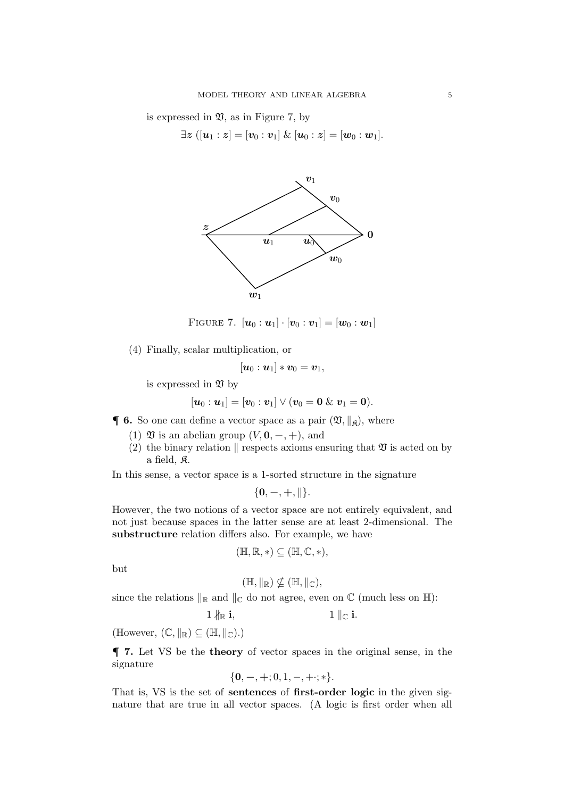is expressed in  $\mathfrak{V}$ , as in Figure 7, by

 $\exists z \ ([u_1 : z] = [v_0 : v_1] \ \& \ [u_0 : z] = [w_0 : w_1].$ 



FIGURE 7.  $[\mathbf{u}_0 : \mathbf{u}_1] \cdot [\mathbf{v}_0 : \mathbf{v}_1] = [\mathbf{w}_0 : \mathbf{w}_1]$ 

(4) Finally, scalar multiplication, or

$$
[\boldsymbol{u}_0:\boldsymbol{u}_1]*\boldsymbol{v}_0=\boldsymbol{v}_1,
$$

is expressed in  $\mathfrak V$  by

$$
[\boldsymbol{u}_0: \boldsymbol{u}_1] = [\boldsymbol{v}_0: \boldsymbol{v}_1] \vee (\boldsymbol{v}_0 = \boldsymbol{0} \ \& \ \boldsymbol{v}_1 = \boldsymbol{0}).
$$

 $\mathbf{\P}$  **6.** So one can define a vector space as a pair  $(\mathfrak{V}, \|\mathfrak{g})$ , where

- (1)  $\mathfrak V$  is an abelian group  $(V, \mathbf 0, -, +)$ , and
- (2) the binary relation  $\parallel$  respects axioms ensuring that  $\mathfrak V$  is acted on by a field, K.

In this sense, a vector space is a 1-sorted structure in the signature

$$
\{0,-,+, \| \}.
$$

However, the two notions of a vector space are not entirely equivalent, and not just because spaces in the latter sense are at least 2-dimensional. The substructure relation differs also. For example, we have

$$
(\mathbb{H}, \mathbb{R}, *) \subseteq (\mathbb{H}, \mathbb{C}, *),
$$

but

$$
(\mathbb{H},\|_{\mathbb{R}})\nsubseteq (\mathbb{H},\|_{\mathbb{C}}),
$$

since the relations  $\Vert_{\mathbb{R}}$  and  $\Vert_{\mathbb{C}}$  do not agree, even on  $\mathbb{C}$  (much less on  $\mathbb{H}$ ):

$$
1 \nparallel_{\mathbb{R}} \mathbf{i}, \qquad \qquad 1 \parallel_{\mathbb{C}} \mathbf{i}.
$$

(However,  $(\mathbb{C}, \Vert_{\mathbb{R}}) \subseteq (\mathbb{H}, \Vert_{\mathbb{C}}).$ )

¶ 7. Let VS be the theory of vector spaces in the original sense, in the signature

$$
\{0,-,+\,;0,1,-,+\,\cdot;\,*\}.
$$

That is, VS is the set of sentences of first-order logic in the given signature that are true in all vector spaces. (A logic is first order when all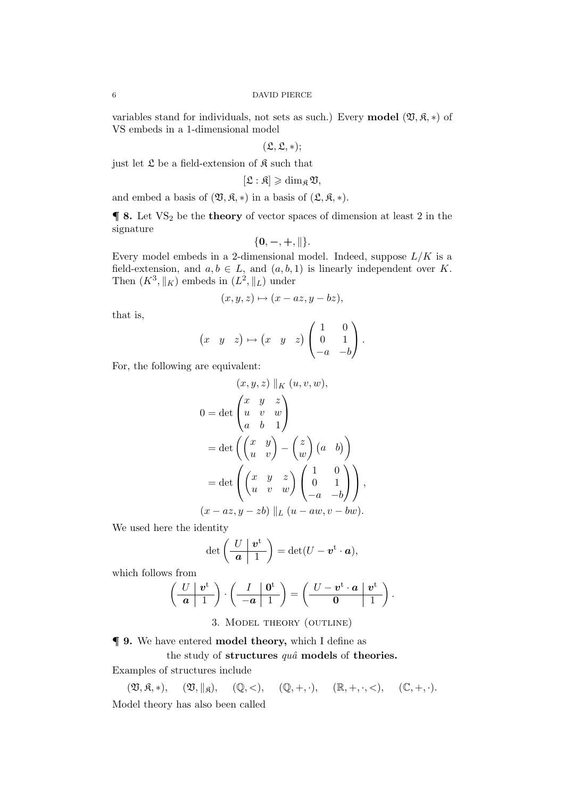variables stand for individuals, not sets as such.) Every **model**  $(\mathfrak{V}, \mathfrak{K}, *)$  of VS embeds in a 1-dimensional model

$$
(\mathfrak{L},\mathfrak{L},*);
$$

just let  $\mathfrak L$  be a field-extension of  $\mathfrak K$  such that

 $[\mathfrak{L} : \mathfrak{K}] \geqslant \dim_{\mathfrak{K}} \mathfrak{V},$ 

and embed a basis of  $(\mathfrak{V}, \mathfrak{K}, *)$  in a basis of  $(\mathfrak{L}, \mathfrak{K}, *)$ .

 $\P$  8. Let  $VS_2$  be the theory of vector spaces of dimension at least 2 in the signature

$$
\{0,-,+, \|\}.
$$

Every model embeds in a 2-dimensional model. Indeed, suppose  $L/K$  is a field-extension, and  $a, b \in L$ , and  $(a, b, 1)$  is linearly independent over K. Then  $(K^3, \|K)$  embeds in  $(L^2, \|L)$  under

$$
(x, y, z) \mapsto (x - az, y - bz),
$$

that is,

$$
\begin{pmatrix} x & y & z \end{pmatrix} \mapsto \begin{pmatrix} x & y & z \end{pmatrix} \begin{pmatrix} 1 & 0 \\ 0 & 1 \\ -a & -b \end{pmatrix}.
$$

For, the following are equivalent:

$$
(x, y, z) \| K (u, v, w),
$$
  
\n
$$
0 = det \begin{pmatrix} x & y & z \\ u & v & w \\ a & b & 1 \end{pmatrix}
$$
  
\n
$$
= det \begin{pmatrix} x & y \\ u & v \end{pmatrix} - \begin{pmatrix} z \\ w \end{pmatrix} \begin{pmatrix} a & b \end{pmatrix}
$$
  
\n
$$
= det \begin{pmatrix} x & y & z \\ u & v & w \end{pmatrix} \begin{pmatrix} 1 & 0 \\ 0 & 1 \\ -a & -b \end{pmatrix},
$$
  
\n
$$
(x - az, y - zb) \| L (u - aw, v - bw).
$$

We used here the identity

$$
\det\left(\begin{array}{c|c} U & \boldsymbol{v}^{\mathrm{t}} \\ \hline \boldsymbol{a} & 1 \end{array}\right) = \det(U - \boldsymbol{v}^{\mathrm{t}} \cdot \boldsymbol{a}),
$$

which follows from

$$
\left(\begin{array}{c|c} U & \boldsymbol{v}^{\mathrm{t}} \\ \hline \boldsymbol{a} & 1 \end{array}\right) \cdot \left(\begin{array}{c|c} I & \boldsymbol{0}^{\mathrm{t}} \\ \hline -\boldsymbol{a} & 1 \end{array}\right) = \left(\begin{array}{c|c} U - \boldsymbol{v}^{\mathrm{t}} \cdot \boldsymbol{a} & \boldsymbol{v}^{\mathrm{t}} \\ \hline \boldsymbol{0} & 1 \end{array}\right).
$$

3. Model theory (outline)

¶ 9. We have entered model theory, which I define as

# the study of structures  $qu\hat{a}$  models of theories.

Examples of structures include

 $(\mathfrak{V}, \mathfrak{K}, *)$ ,  $(\mathfrak{V}, \|_{\mathfrak{K}})$ ,  $(\mathbb{Q}, <),$   $(\mathbb{Q}, +, \cdot)$ ,  $(\mathbb{R}, +, \cdot, <),$   $(\mathbb{C}, +, \cdot)$ . Model theory has also been called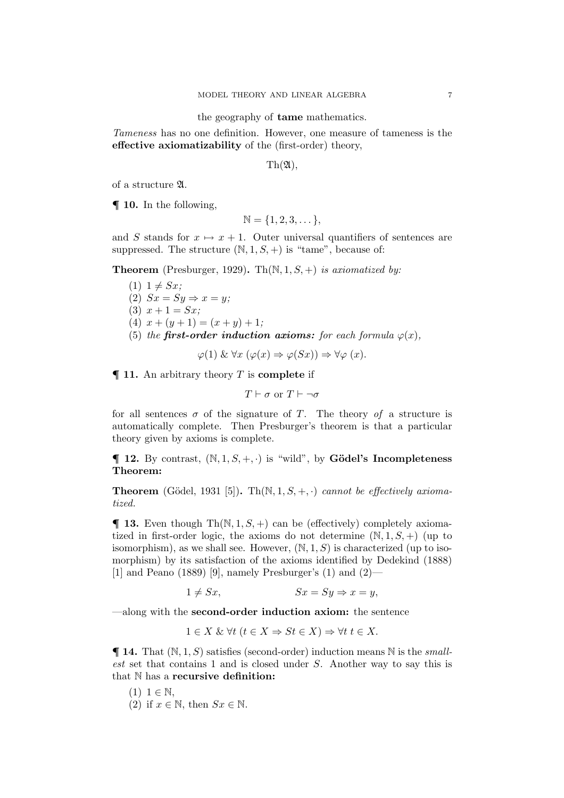the geography of tame mathematics.

*Tameness* has no one definition. However, one measure of tameness is the effective axiomatizability of the (first-order) theory,

 $\text{Th}(\mathfrak{A}),$ 

of a structure A.

¶ 10. In the following,

$$
\mathbb{N} = \{1, 2, 3, \dots\},\
$$

and S stands for  $x \mapsto x + 1$ . Outer universal quantifiers of sentences are suppressed. The structure  $(N, 1, S, +)$  is "tame", because of:

Theorem (Presburger, 1929). Th(N, 1, S, +) *is axiomatized by:*

- $(1)$  1  $\neq$  *Sx*;
- (2)  $Sx = Sy \Rightarrow x = y;$
- (3)  $x + 1 = Sx$ ;
- (4)  $x + (y + 1) = (x + y) + 1;$
- (5) *the* first-order induction axioms: for each formula  $\varphi(x)$ ,

 $\varphi(1) \& \forall x (\varphi(x) \Rightarrow \varphi(Sx)) \Rightarrow \forall \varphi(x).$ 

 $\P$  11. An arbitrary theory T is complete if

$$
T \vdash \sigma \text{ or } T \vdash \neg \sigma
$$

for all sentences  $\sigma$  of the signature of T. The theory of a structure is automatically complete. Then Presburger's theorem is that a particular theory given by axioms is complete.

 $\P$  **12.** By contrast,  $(N, 1, S, +, \cdot)$  is "wild", by **Gödel's Incompleteness** Theorem:

**Theorem** (Gödel, 1931 [5]). Th $(N, 1, S, +, \cdot)$  *cannot be effectively axiomatized.*

 $\P$  **13.** Even though Th $(N, 1, S, +)$  can be (effectively) completely axiomatized in first-order logic, the axioms do not determine  $(N, 1, S, +)$  (up to isomorphism), as we shall see. However,  $(N, 1, S)$  is characterized (up to isomorphism) by its satisfaction of the axioms identified by Dedekind (1888) [1] and Peano (1889) [9], namely Presburger's (1) and  $(2)$ —

 $1 \neq Sx$ ,  $Sx = Sy \Rightarrow x = y$ ,

—along with the second-order induction axiom: the sentence

$$
1 \in X \& \forall t \ (t \in X \Rightarrow St \in X) \Rightarrow \forall t \ t \in X.
$$

 $\P$  **14.** That  $(N, 1, S)$  satisfies (second-order) induction means  $N$  is the *smallest* set that contains 1 and is closed under S. Another way to say this is that N has a recursive definition:

- $(1)$  1  $\in \mathbb{N}$ .
- (2) if  $x \in \mathbb{N}$ , then  $Sx \in \mathbb{N}$ .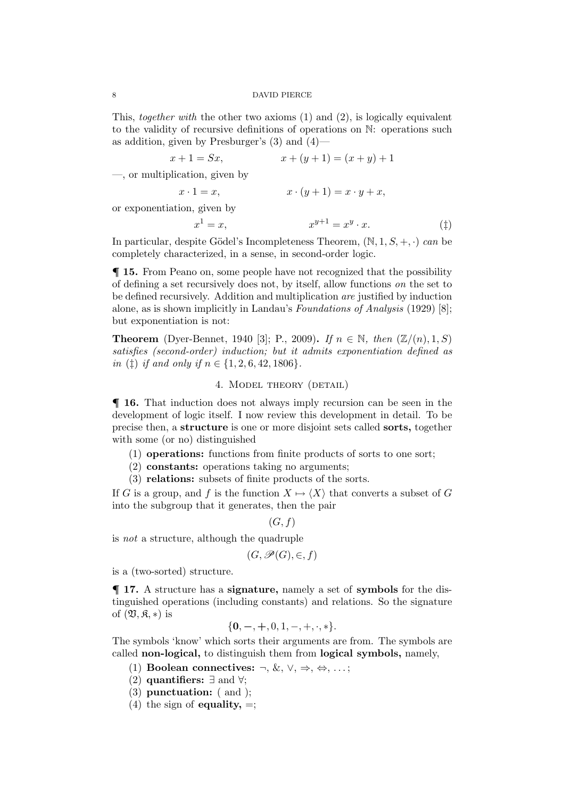This, *together with* the other two axioms (1) and (2), is logically equivalent to the validity of recursive definitions of operations on N: operations such as addition, given by Presburger's  $(3)$  and  $(4)$ —

$$
x + 1 = Sx, \qquad x + (y + 1) = (x + y) + 1
$$

—, or multiplication, given by

$$
x \cdot 1 = x, \qquad \qquad x \cdot (y+1) = x \cdot y + x,
$$

or exponentiation, given by

$$
x^{1} = x, \t x^{y+1} = x^{y} \cdot x. \t (†)
$$

In particular, despite Gödel's Incompleteness Theorem,  $(N, 1, S, +, \cdot)$  *can* be completely characterized, in a sense, in second-order logic.

¶ 15. From Peano on, some people have not recognized that the possibility of defining a set recursively does not, by itself, allow functions *on* the set to be defined recursively. Addition and multiplication *are* justified by induction alone, as is shown implicitly in Landau's *Foundations of Analysis* (1929) [8]; but exponentiation is not:

**Theorem** (Dyer-Bennet, 1940 [3]; P., 2009). *If*  $n \in \mathbb{N}$ , *then* ( $\mathbb{Z}/(n)$ , 1, S) *satisfies (second-order) induction; but it admits exponentiation defined as in* ( $\ddagger$ ) *if and only if*  $n \in \{1, 2, 6, 42, 1806\}.$ 

# 4. MODEL THEORY (DETAIL)

¶ 16. That induction does not always imply recursion can be seen in the development of logic itself. I now review this development in detail. To be precise then, a structure is one or more disjoint sets called sorts, together with some (or no) distinguished

- (1) operations: functions from finite products of sorts to one sort;
- (2) constants: operations taking no arguments;
- (3) relations: subsets of finite products of the sorts.

If G is a group, and f is the function  $X \mapsto \langle X \rangle$  that converts a subset of G into the subgroup that it generates, then the pair

$$
(G,f)
$$

is *not* a structure, although the quadruple

$$
(G,\mathscr{P}(G),\in,f)
$$

is a (two-sorted) structure.

¶ 17. A structure has a signature, namely a set of symbols for the distinguished operations (including constants) and relations. So the signature of  $(\mathfrak{V}, \mathfrak{K}, *)$  is

$$
\{0,-,+,0,1,-,+, \cdot,*\}.
$$

The symbols 'know' which sorts their arguments are from. The symbols are called non-logical, to distinguish them from logical symbols, namely,

- (1) Boolean connectives:  $\neg, \&, \vee, \Rightarrow, \Leftrightarrow, \ldots;$
- (2) **quantifiers:**  $\exists$  and  $\forall$ ;
- (3) punctuation: ( and );
- (4) the sign of **equality**,  $=$ ;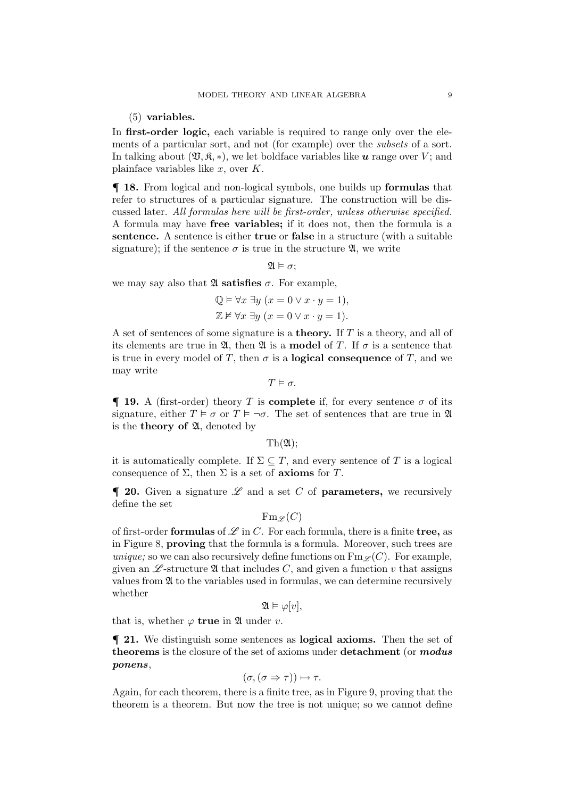(5) variables.

In **first-order logic,** each variable is required to range only over the elements of a particular sort, and not (for example) over the *subsets* of a sort. In talking about  $(\mathfrak{V}, \mathfrak{K}, *)$ , we let boldface variables like u range over V; and plainface variables like  $x$ , over  $K$ .

¶ 18. From logical and non-logical symbols, one builds up formulas that refer to structures of a particular signature. The construction will be discussed later. *All formulas here will be first-order, unless otherwise specified.* A formula may have free variables; if it does not, then the formula is a sentence. A sentence is either true or false in a structure (with a suitable signature); if the sentence  $\sigma$  is true in the structure  $\mathfrak{A}$ , we write

 $\mathfrak{A} \models \sigma$ :

we may say also that  $\mathfrak A$  satisfies  $\sigma$ . For example,

$$
\mathbb{Q} \models \forall x \; \exists y \; (x = 0 \lor x \cdot y = 1),
$$
  

$$
\mathbb{Z} \not\models \forall x \; \exists y \; (x = 0 \lor x \cdot y = 1).
$$

A set of sentences of some signature is a theory. If T is a theory, and all of its elements are true in  $\mathfrak{A}$ , then  $\mathfrak{A}$  is a **model** of T. If  $\sigma$  is a sentence that is true in every model of T, then  $\sigma$  is a **logical consequence** of T, and we may write

 $T \models \sigma$ .

 $\P$  **19.** A (first-order) theory T is **complete** if, for every sentence  $\sigma$  of its signature, either  $T \models \sigma$  or  $T \models \neg \sigma$ . The set of sentences that are true in  $\mathfrak{A}$ is the **theory of**  $\mathfrak{A}$ , denoted by

 $\text{Th}(\mathfrak{A})$ :

it is automatically complete. If  $\Sigma \subseteq T$ , and every sentence of T is a logical consequence of  $\Sigma$ , then  $\Sigma$  is a set of **axioms** for T.

 $\blacksquare$  **20.** Given a signature  $\mathscr L$  and a set C of **parameters**, we recursively define the set

 $\operatorname{Fm}_\mathscr{L}(C)$ 

of first-order **formulas** of  $\mathcal L$  in C. For each formula, there is a finite **tree**, as in Figure 8, proving that the formula is a formula. Moreover, such trees are *unique;* so we can also recursively define functions on  $\text{Fm}\,\varphi(C)$ . For example, given an  $\mathscr{L}$ -structure  $\mathfrak A$  that includes C, and given a function v that assigns values from A to the variables used in formulas, we can determine recursively whether

$$
\mathfrak{A} \vDash \varphi[v],
$$

that is, whether  $\varphi$  true in  $\mathfrak A$  under v.

¶ 21. We distinguish some sentences as logical axioms. Then the set of theorems is the closure of the set of axioms under detachment (or modus ponens,

$$
(\sigma, (\sigma \Rightarrow \tau)) \mapsto \tau.
$$

Again, for each theorem, there is a finite tree, as in Figure 9, proving that the theorem is a theorem. But now the tree is not unique; so we cannot define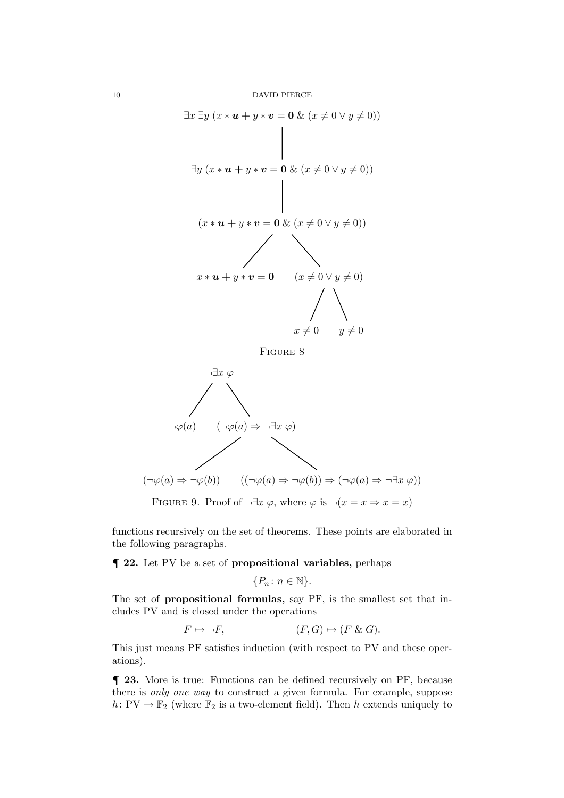





FIGURE 9. Proof of  $\neg \exists x \varphi$ , where  $\varphi$  is  $\neg (x = x \Rightarrow x = x)$ 

functions recursively on the set of theorems. These points are elaborated in the following paragraphs.

¶ 22. Let PV be a set of propositional variables, perhaps

$$
\{P_n \colon n \in \mathbb{N}\}.
$$

The set of propositional formulas, say PF, is the smallest set that includes PV and is closed under the operations

$$
F \mapsto \neg F, \qquad (F, G) \mapsto (F \& G).
$$

This just means PF satisfies induction (with respect to PV and these operations).

¶ 23. More is true: Functions can be defined recursively on PF, because there is *only one way* to construct a given formula. For example, suppose h:  $PV \rightarrow \mathbb{F}_2$  (where  $\mathbb{F}_2$  is a two-element field). Then h extends uniquely to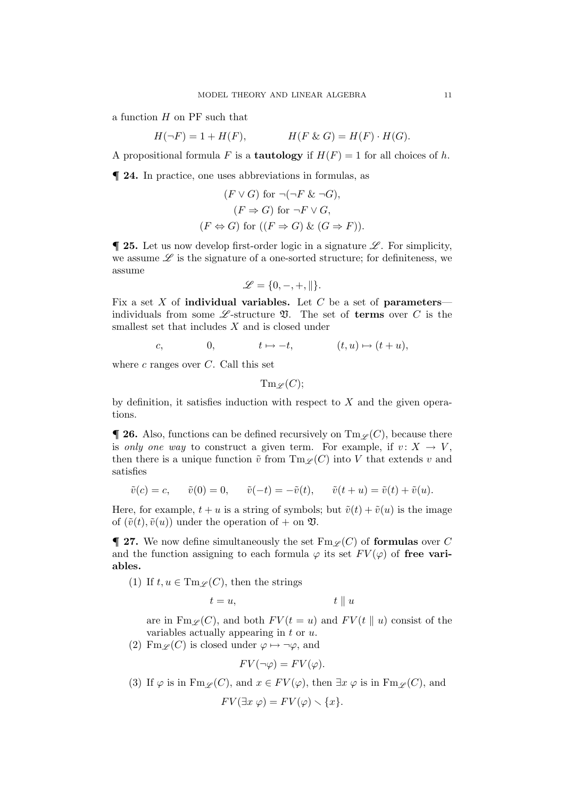a function  $H$  on  $PF$  such that

$$
H(\neg F) = 1 + H(F), \qquad H(F \& G) = H(F) \cdot H(G).
$$

A propositional formula F is a **tautology** if  $H(F) = 1$  for all choices of h.

¶ 24. In practice, one uses abbreviations in formulas, as

$$
(F \vee G) \text{ for } \neg(\neg F \& \neg G),
$$

$$
(F \Rightarrow G) \text{ for } \neg F \vee G,
$$

$$
(F \Leftrightarrow G) \text{ for } ((F \Rightarrow G) \& (G \Rightarrow F)).
$$

 $\blacksquare$  **25.** Let us now develop first-order logic in a signature  $\mathscr{L}$ . For simplicity, we assume  $\mathscr L$  is the signature of a one-sorted structure; for definiteness, we assume

$$
\mathscr{L}=\{0,-,+, \parallel\}.
$$

Fix a set X of **individual variables.** Let C be a set of **parameters** individuals from some  $\mathscr{L}$ -structure  $\mathfrak{V}$ . The set of **terms** over C is the smallest set that includes  $X$  and is closed under

$$
c, \qquad \qquad 0, \qquad \qquad t \mapsto -t, \qquad \qquad (t, u) \mapsto (t + u),
$$

where  $c$  ranges over  $C$ . Call this set

 $\mathrm{Tm} \varphi(C)$ ;

by definition, it satisfies induction with respect to  $X$  and the given operations.

**T** 26. Also, functions can be defined recursively on  $\text{Im}_{\mathscr{L}}(C)$ , because there is *only one way* to construct a given term. For example, if  $v: X \to V$ , then there is a unique function  $\tilde{v}$  from  $\text{Im } \varphi(C)$  into V that extends v and satisfies

$$
\tilde{v}(c) = c,
$$
  $\tilde{v}(0) = 0,$   $\tilde{v}(-t) = -\tilde{v}(t),$   $\tilde{v}(t + u) = \tilde{v}(t) + \tilde{v}(u).$ 

Here, for example,  $t + u$  is a string of symbols; but  $\tilde{v}(t) + \tilde{v}(u)$  is the image of  $(\tilde{v}(t), \tilde{v}(u))$  under the operation of  $+$  on  $\mathfrak{V}$ .

**T** 27. We now define simultaneously the set  $\text{Fm }\varphi(C)$  of formulas over C and the function assigning to each formula  $\varphi$  its set  $FV(\varphi)$  of free variables.

(1) If  $t, u \in \mathrm{Tm}_{\mathscr{L}}(C)$ , then the strings

$$
t = u, \qquad \qquad t \parallel u
$$

are in  $\text{Fm}_{\mathscr{L}}(C)$ , and both  $FV(t = u)$  and  $FV(t \parallel u)$  consist of the variables actually appearing in  $t$  or  $u$ .

(2) Fm<sub>L</sub>(C) is closed under  $\varphi \mapsto \neg \varphi$ , and

$$
FV(\neg\varphi) = FV(\varphi).
$$

(3) If  $\varphi$  is in Fm<sub>L</sub>(C), and  $x \in FV(\varphi)$ , then  $\exists x \varphi$  is in Fm<sub>L</sub>(C), and  $FV(\exists x \, \varphi) = FV(\varphi) \setminus \{x\}.$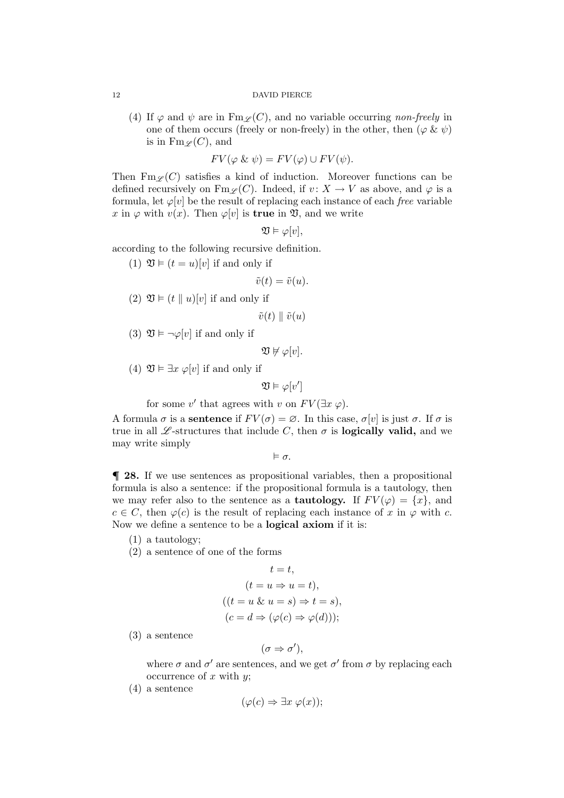(4) If  $\varphi$  and  $\psi$  are in  $\text{Fm}_{\mathscr{L}}(C)$ , and no variable occurring *non-freely* in one of them occurs (freely or non-freely) in the other, then  $(\varphi \& \psi)$ is in  $\text{Fm}\,\varphi(C)$ , and

$$
FV(\varphi \& \psi) = FV(\varphi) \cup FV(\psi).
$$

Then  $\text{Fm}_{\mathscr{L}}(C)$  satisfies a kind of induction. Moreover functions can be defined recursively on  $\text{Fm}_{\mathscr{L}}(C)$ . Indeed, if  $v: X \to V$  as above, and  $\varphi$  is a formula, let  $\varphi[v]$  be the result of replacing each instance of each *free* variable x in  $\varphi$  with  $v(x)$ . Then  $\varphi[v]$  is **true** in  $\mathfrak{V}$ , and we write

$$
\mathfrak{V}\vDash \varphi[v],
$$

according to the following recursive definition.

(1)  $\mathfrak{V} \models (t = u)[v]$  if and only if

$$
\tilde{v}(t) = \tilde{v}(u).
$$

(2)  $\mathfrak{V} \models (t \parallel u)[v]$  if and only if

 $\tilde{v}(t) \parallel \tilde{v}(u)$ 

(3)  $\mathfrak{V} \models \neg \varphi[v]$  if and only if

 $\mathfrak{V} \not\models \varphi[v].$ 

(4)  $\mathfrak{V} \models \exists x \varphi[v]$  if and only if

$$
\mathfrak{V}\vDash \varphi[v']
$$

for some  $v'$  that agrees with v on  $FV(\exists x \varphi)$ .

A formula  $\sigma$  is a sentence if  $FV(\sigma) = \emptyset$ . In this case,  $\sigma[v]$  is just  $\sigma$ . If  $\sigma$  is true in all  $\mathscr L$ -structures that include C, then  $\sigma$  is **logically valid,** and we may write simply

 $\models \sigma.$ 

¶ 28. If we use sentences as propositional variables, then a propositional formula is also a sentence: if the propositional formula is a tautology, then we may refer also to the sentence as a **tautology.** If  $FV(\varphi) = \{x\}$ , and  $c \in C$ , then  $\varphi(c)$  is the result of replacing each instance of x in  $\varphi$  with c. Now we define a sentence to be a logical axiom if it is:

- (1) a tautology;
- (2) a sentence of one of the forms

$$
t = t,
$$
  
\n
$$
(t = u \Rightarrow u = t),
$$
  
\n
$$
((t = u \& u = s) \Rightarrow t = s),
$$
  
\n
$$
(c = d \Rightarrow (\varphi(c) \Rightarrow \varphi(d)))
$$

(3) a sentence

$$
(\sigma \Rightarrow \sigma'),
$$

where  $\sigma$  and  $\sigma'$  are sentences, and we get  $\sigma'$  from  $\sigma$  by replacing each occurrence of  $x$  with  $y$ ;

(4) a sentence

$$
(\varphi(c) \Rightarrow \exists x \ \varphi(x));
$$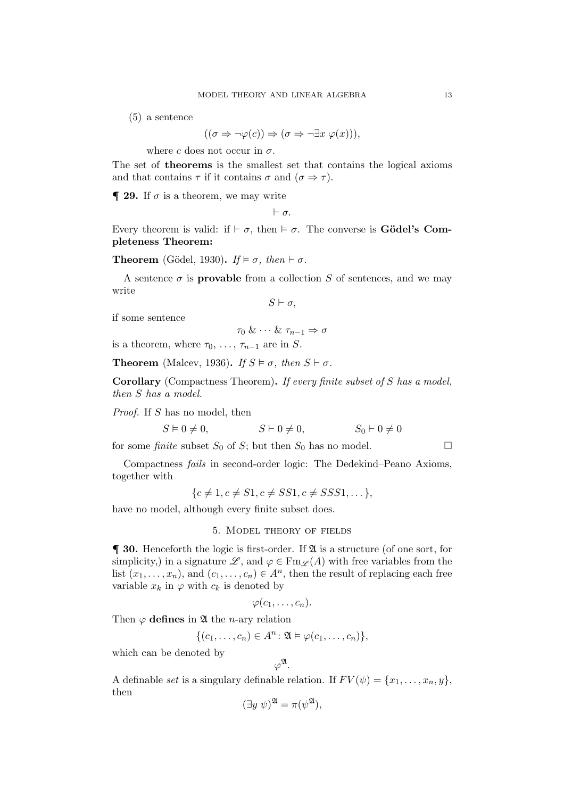(5) a sentence

$$
((\sigma \Rightarrow \neg \varphi(c)) \Rightarrow (\sigma \Rightarrow \neg \exists x \ \varphi(x))),
$$

where c does not occur in  $\sigma$ .

The set of theorems is the smallest set that contains the logical axioms and that contains  $\tau$  if it contains  $\sigma$  and  $(\sigma \Rightarrow \tau)$ .

 $\P$  **29.** If  $\sigma$  is a theorem, we may write

⊢ σ.

Every theorem is valid: if  $\vdash \sigma$ , then  $\models \sigma$ . The converse is **Gödel's Com**pleteness Theorem:

**Theorem** (Gödel, 1930). *If*  $\models \sigma$ , *then*  $\vdash \sigma$ .

A sentence  $\sigma$  is **provable** from a collection S of sentences, and we may write

 $S \vdash \sigma$ .

if some sentence

$$
\tau_0\ \&\ \cdots\ \&\ \tau_{n-1}\Rightarrow\sigma
$$

is a theorem, where  $\tau_0, \ldots, \tau_{n-1}$  are in S.

**Theorem** (Malcev, 1936). *If*  $S \models \sigma$ , then  $S \vdash \sigma$ .

Corollary (Compactness Theorem). *If every finite subset of* S *has a model, then* S *has a model.*

*Proof.* If S has no model, then

 $S \vDash 0 \neq 0,$   $S \vdash 0 \neq 0,$   $S_0 \vdash 0 \neq 0$ 

for some *finite* subset  $S_0$  of  $S$ ; but then  $S_0$  has no model.  $\Box$ 

Compactness *fails* in second-order logic: The Dedekind–Peano Axioms, together with

 ${c \neq 1, c \neq S1, c \neq SS1, c \neq SSS1, \ldots},$ 

have no model, although every finite subset does.

5. Model theory of fields

 $\P$  30. Henceforth the logic is first-order. If  $\mathfrak A$  is a structure (of one sort, for simplicity,) in a signature  $\mathscr{L}$ , and  $\varphi \in \text{Fm}_{\mathscr{L}}(A)$  with free variables from the list  $(x_1, \ldots, x_n)$ , and  $(c_1, \ldots, c_n) \in A^n$ , then the result of replacing each free variable  $x_k$  in  $\varphi$  with  $c_k$  is denoted by

$$
\varphi(c_1,\ldots,c_n).
$$

Then  $\varphi$  defines in  $\mathfrak A$  the *n*-ary relation

$$
\{(c_1,\ldots,c_n)\in A^n\colon \mathfrak{A}\vDash\varphi(c_1,\ldots,c_n)\},\
$$

which can be denoted by

$$
\varphi^{\mathfrak{A}}.
$$

A definable *set* is a singulary definable relation. If  $FV(\psi) = \{x_1, \ldots, x_n, y\}$ , then

$$
(\exists y \; \psi)^{\mathfrak{A}} = \pi(\psi^{\mathfrak{A}}),
$$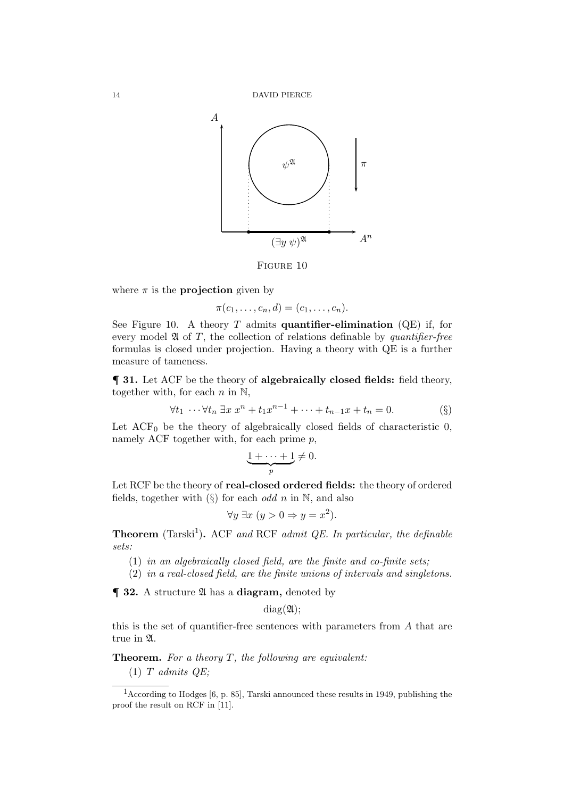

FIGURE 10

where  $\pi$  is the **projection** given by

 $\pi(c_1, \ldots, c_n, d) = (c_1, \ldots, c_n).$ 

See Figure 10. A theory  $T$  admits quantifier-elimination (QE) if, for every model A of T, the collection of relations definable by *quantifier-free* formulas is closed under projection. Having a theory with QE is a further measure of tameness.

¶ 31. Let ACF be the theory of algebraically closed fields: field theory, together with, for each  $n$  in  $\mathbb{N}$ ,

$$
\forall t_1 \cdots \forall t_n \ \exists x \ x^n + t_1 x^{n-1} + \cdots + t_{n-1} x + t_n = 0. \tag{§}
$$

Let  $ACF_0$  be the theory of algebraically closed fields of characteristic 0, namely ACF together with, for each prime  $p$ ,

$$
\underbrace{1+\cdots+1}_{p}\neq 0.
$$

Let RCF be the theory of real-closed ordered fields: the theory of ordered fields, together with  $(\S)$  for each *odd* n in N, and also

$$
\forall y \; \exists x \; (y > 0 \Rightarrow y = x^2).
$$

Theorem (Tarski<sup>1</sup>). ACF and RCF admit QE. In particular, the definable *sets:*

- (1) *in an algebraically closed field, are the finite and co-finite sets;*
- (2) *in a real-closed field, are the finite unions of intervals and singletons.*

 $\P$  32. A structure  $\mathfrak A$  has a diagram, denoted by

 $diag(\mathfrak{A});$ 

this is the set of quantifier-free sentences with parameters from A that are true in A.

Theorem. *For a theory* T*, the following are equivalent:*

(1) T *admits QE;*

<sup>&</sup>lt;sup>1</sup> According to Hodges [6, p. 85], Tarski announced these results in 1949, publishing the proof the result on RCF in [11].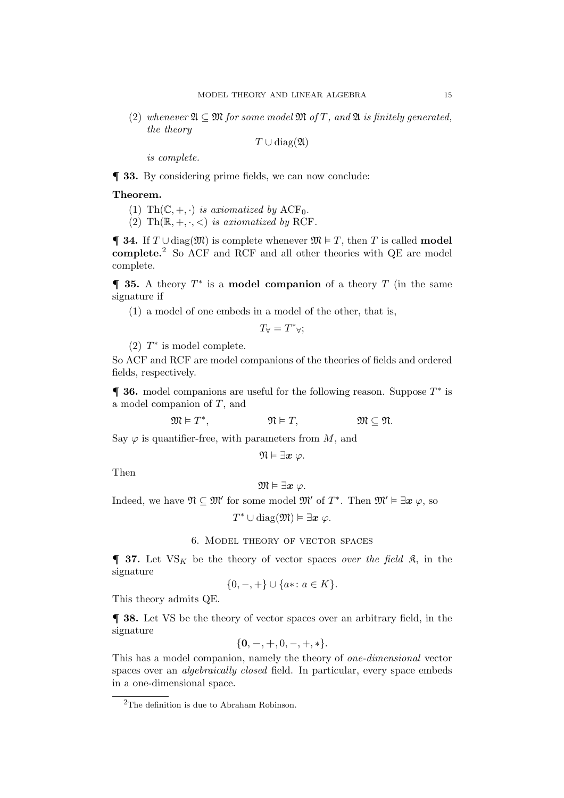(2) whenever  $\mathfrak{A} \subseteq \mathfrak{M}$  for some model  $\mathfrak{M}$  of T, and  $\mathfrak{A}$  *is finitely generated, the theory*

 $T \cup diag(\mathfrak{A})$ 

*is complete.*

¶ 33. By considering prime fields, we can now conclude:

# Theorem.

- (1) Th $(\mathbb{C}, +, \cdot)$  *is axiomatized by* ACF<sub>0</sub>.
- (2) Th $(\mathbb{R}, +, \cdot, <)$  *is axiomatized by* RCF.

**¶ 34.** If  $T \cup diag(\mathfrak{M})$  is complete whenever  $\mathfrak{M} \models T$ , then T is called **model** complete.<sup>2</sup> So ACF and RCF and all other theories with QE are model complete.

 $\P$  35. A theory  $T^*$  is a model companion of a theory  $T$  (in the same signature if

(1) a model of one embeds in a model of the other, that is,

$$
T_{\forall} = T^*_{\forall};
$$

(2)  $T^*$  is model complete.

So ACF and RCF are model companions of the theories of fields and ordered fields, respectively.

 $\P$  36. model companions are useful for the following reason. Suppose  $T^*$  is a model companion of T, and

$$
\mathfrak{M}\vDash T^*,\qquad\qquad\mathfrak{N}\vDash T,\qquad\qquad\mathfrak{M}\subseteq\mathfrak{N}.
$$

Say  $\varphi$  is quantifier-free, with parameters from M, and

$$
\mathfrak{N}\vDash \exists \boldsymbol{x}\ \varphi.
$$

Then

$$
\mathfrak{M}\vDash \exists \boldsymbol{x}\ \varphi.
$$

Indeed, we have  $\mathfrak{N} \subseteq \mathfrak{M}'$  for some model  $\mathfrak{M}'$  of  $T^*$ . Then  $\mathfrak{M}' \vDash \exists x \varphi$ , so

 $T^* \cup \text{diag}(\mathfrak{M}) \vDash \exists \boldsymbol{x} \; \varphi.$ 

# 6. Model theory of vector spaces

 $\blacksquare$  **37.** Let  $VS_K$  be the theory of vector spaces *over the field*  $\mathfrak{K}$ , in the signature

$$
\{0, -, +\} \cup \{a\ast \colon a \in K\}.
$$

This theory admits QE.

¶ 38. Let VS be the theory of vector spaces over an arbitrary field, in the signature

$$
\{0,-,+,0,-,+,*\}.
$$

This has a model companion, namely the theory of *one-dimensional* vector spaces over an *algebraically closed* field. In particular, every space embeds in a one-dimensional space.

 ${}^{2}\mathrm{The}$  definition is due to Abraham Robinson.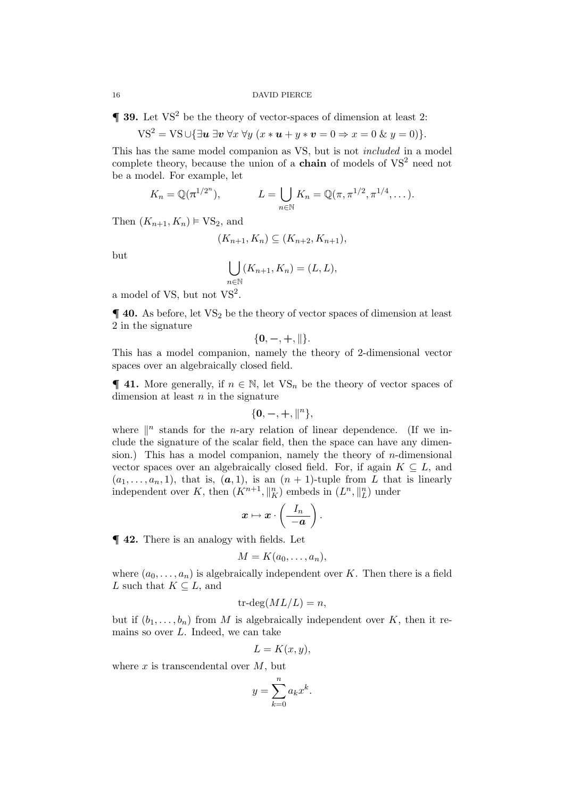$\blacksquare$  **39.** Let VS<sup>2</sup> be the theory of vector-spaces of dimension at least 2:

$$
VS^{2} = VS \cup {\exists u \exists v \forall x \forall y (x * u + y * v = 0 \Rightarrow x = 0 \& y = 0)}.
$$

This has the same model companion as VS, but is not *included* in a model complete theory, because the union of a **chain** of models of  $VS<sup>2</sup>$  need not be a model. For example, let

$$
K_n = \mathbb{Q}(\pi^{1/2^n}),
$$
  $L = \bigcup_{n \in \mathbb{N}} K_n = \mathbb{Q}(\pi, \pi^{1/2}, \pi^{1/4}, \dots).$ 

Then  $(K_{n+1}, K_n) \vDash \text{VS}_2$ , and

$$
(K_{n+1}, K_n) \subseteq (K_{n+2}, K_{n+1}),
$$

but

$$
\bigcup_{n\in\mathbb{N}} (K_{n+1}, K_n) = (L, L),
$$

a model of VS, but not  $VS^2$ .

 $\P$  40. As before, let  $VS_2$  be the theory of vector spaces of dimension at least 2 in the signature

$$
\{0,-,+, \|\}.
$$

This has a model companion, namely the theory of 2-dimensional vector spaces over an algebraically closed field.

 $\P$  **41.** More generally, if  $n \in \mathbb{N}$ , let  $VS_n$  be the theory of vector spaces of dimension at least  $n$  in the signature

$$
\{{\bf 0},-,+,\parallel^n\},
$$

where  $\|$ <sup>n</sup> stands for the *n*-ary relation of linear dependence. (If we include the signature of the scalar field, then the space can have any dimension.) This has a model companion, namely the theory of  $n$ -dimensional vector spaces over an algebraically closed field. For, if again  $K \subseteq L$ , and  $(a_1, \ldots, a_n, 1)$ , that is,  $(a, 1)$ , is an  $(n + 1)$ -tuple from L that is linearly independent over K, then  $(K^{n+1}, \|_K^n)$  embeds in  $(L^n, \|_L^n)$  under

$$
\boldsymbol{x} \mapsto \boldsymbol{x} \cdot \left( \frac{I_n}{-\boldsymbol{a}} \right).
$$

¶ 42. There is an analogy with fields. Let

$$
M=K(a_0,\ldots,a_n),
$$

where  $(a_0, \ldots, a_n)$  is algebraically independent over K. Then there is a field L such that  $K \subseteq L$ , and

$$
tr-deg(ML/L) = n,
$$

but if  $(b_1, \ldots, b_n)$  from M is algebraically independent over K, then it remains so over  $L$ . Indeed, we can take

$$
L = K(x, y),
$$

where  $x$  is transcendental over  $M$ , but

$$
y = \sum_{k=0}^{n} a_k x^k.
$$